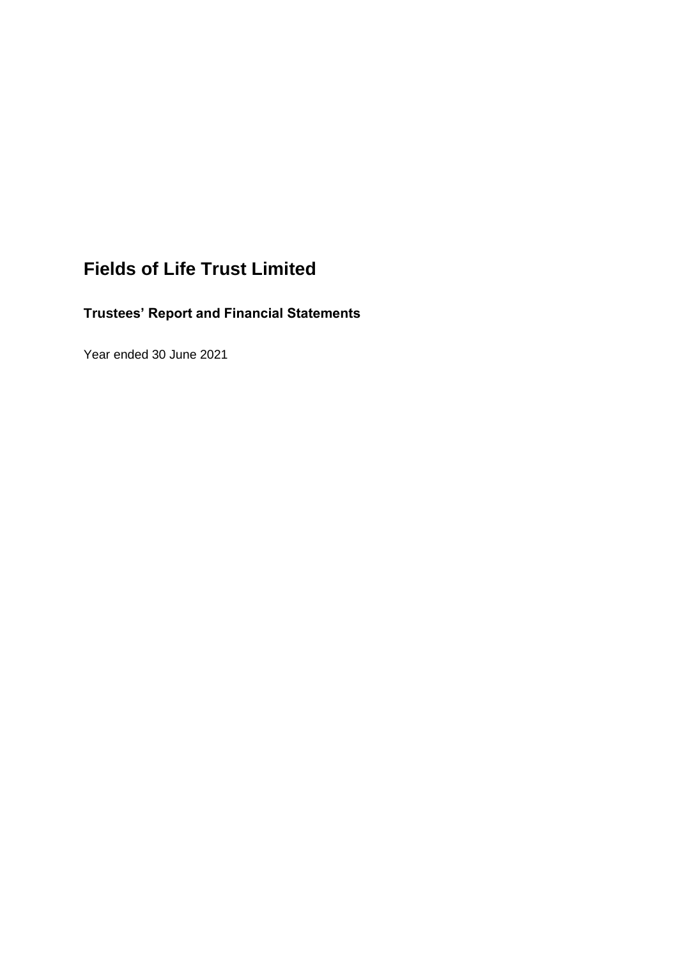# **Fields of Life Trust Limited**

# **Trustees' Report and Financial Statements**

Year ended 30 June 2021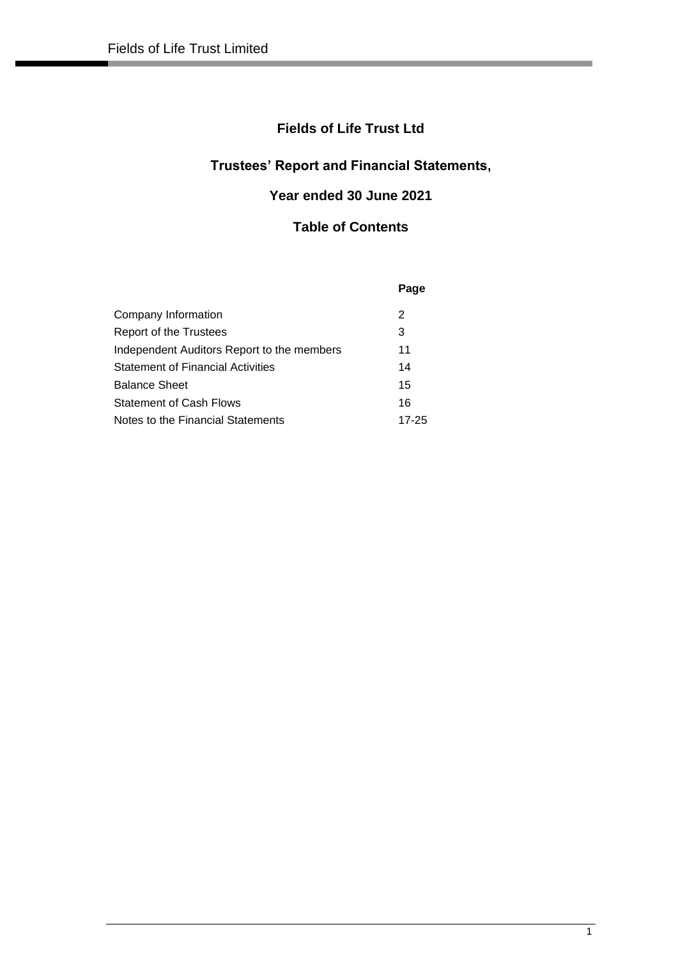## **Fields of Life Trust Ltd**

# **Trustees' Report and Financial Statements,**

# **Year ended 30 June 2021**

## **Table of Contents**

|                                            | Page  |
|--------------------------------------------|-------|
| Company Information                        | 2     |
| Report of the Trustees                     | 3     |
| Independent Auditors Report to the members | 11    |
| <b>Statement of Financial Activities</b>   | 14    |
| <b>Balance Sheet</b>                       | 15    |
| <b>Statement of Cash Flows</b>             | 16    |
| Notes to the Financial Statements          | 17-25 |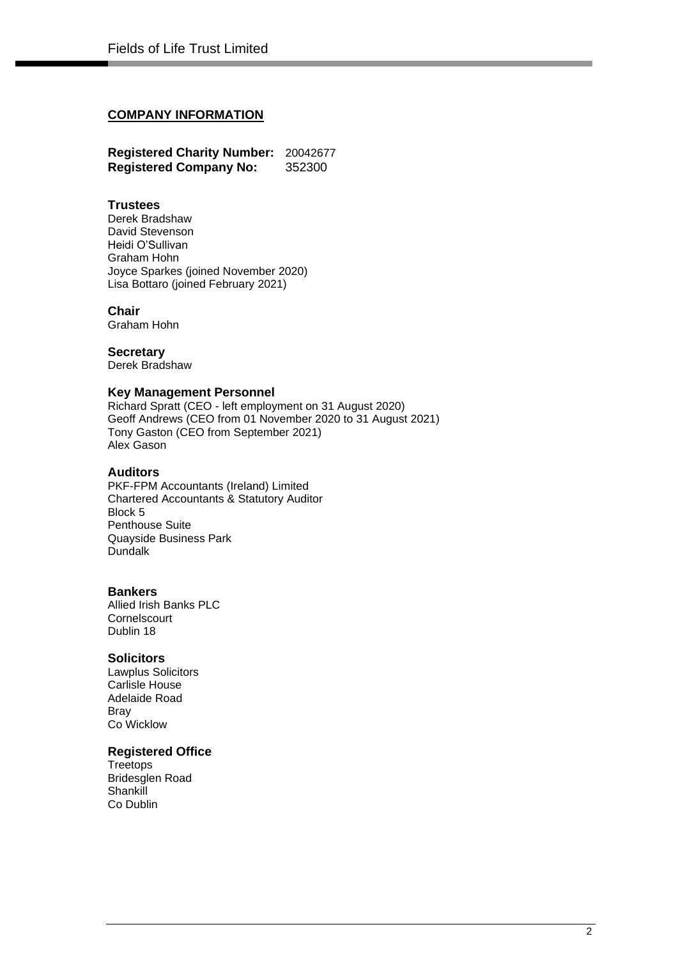## **COMPANY INFORMATION**

**Registered Charity Number:** 20042677 **Registered Company No:** 352300

## **Trustees**

Derek Bradshaw David Stevenson Heidi O'Sullivan Graham Hohn Joyce Sparkes (joined November 2020) Lisa Bottaro (joined February 2021)

## **Chair**

Graham Hohn

### **Secretary**

Derek Bradshaw

## **Key Management Personnel**

Richard Spratt (CEO - left employment on 31 August 2020) Geoff Andrews (CEO from 01 November 2020 to 31 August 2021) Tony Gaston (CEO from September 2021) Alex Gason

## **Auditors**

PKF-FPM Accountants (Ireland) Limited Chartered Accountants & Statutory Auditor Block 5 Penthouse Suite Quayside Business Park Dundalk

#### **Bankers**

Allied Irish Banks PLC **Cornelscourt** Dublin 18

#### **Solicitors**

Lawplus Solicitors Carlisle House Adelaide Road Bray Co Wicklow

## **Registered Office**

**Treetops** Bridesglen Road **Shankill** Co Dublin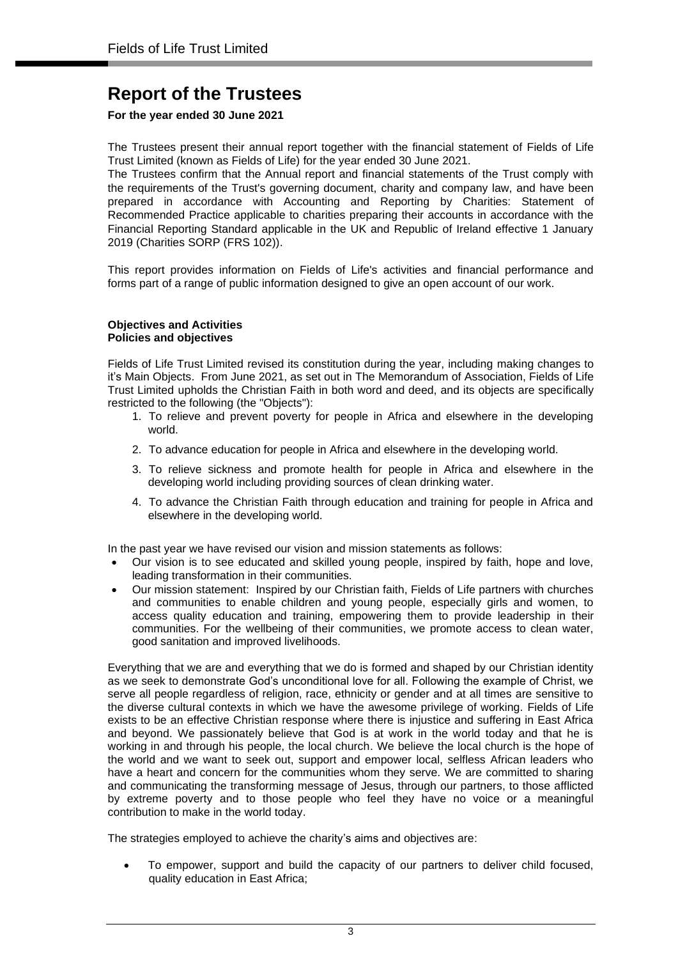## **For the year ended 30 June 2021**

The Trustees present their annual report together with the financial statement of Fields of Life Trust Limited (known as Fields of Life) for the year ended 30 June 2021.

The Trustees confirm that the Annual report and financial statements of the Trust comply with the requirements of the Trust's governing document, charity and company law, and have been prepared in accordance with Accounting and Reporting by Charities: Statement of Recommended Practice applicable to charities preparing their accounts in accordance with the Financial Reporting Standard applicable in the UK and Republic of Ireland effective 1 January 2019 (Charities SORP (FRS 102)).

This report provides information on Fields of Life's activities and financial performance and forms part of a range of public information designed to give an open account of our work.

#### **Objectives and Activities Policies and objectives**

Fields of Life Trust Limited revised its constitution during the year, including making changes to it's Main Objects. From June 2021, as set out in The Memorandum of Association, Fields of Life Trust Limited upholds the Christian Faith in both word and deed, and its objects are specifically restricted to the following (the "Objects"):

- 1. To relieve and prevent poverty for people in Africa and elsewhere in the developing world.
- 2. To advance education for people in Africa and elsewhere in the developing world.
- 3. To relieve sickness and promote health for people in Africa and elsewhere in the developing world including providing sources of clean drinking water.
- 4. To advance the Christian Faith through education and training for people in Africa and elsewhere in the developing world.

In the past year we have revised our vision and mission statements as follows:

- Our vision is to see educated and skilled young people, inspired by faith, hope and love, leading transformation in their communities.
- Our mission statement: Inspired by our Christian faith, Fields of Life partners with churches and communities to enable children and young people, especially girls and women, to access quality education and training, empowering them to provide leadership in their communities. For the wellbeing of their communities, we promote access to clean water, good sanitation and improved livelihoods.

Everything that we are and everything that we do is formed and shaped by our Christian identity as we seek to demonstrate God's unconditional love for all. Following the example of Christ, we serve all people regardless of religion, race, ethnicity or gender and at all times are sensitive to the diverse cultural contexts in which we have the awesome privilege of working. Fields of Life exists to be an effective Christian response where there is injustice and suffering in East Africa and beyond. We passionately believe that God is at work in the world today and that he is working in and through his people, the local church. We believe the local church is the hope of the world and we want to seek out, support and empower local, selfless African leaders who have a heart and concern for the communities whom they serve. We are committed to sharing and communicating the transforming message of Jesus, through our partners, to those afflicted by extreme poverty and to those people who feel they have no voice or a meaningful contribution to make in the world today.

The strategies employed to achieve the charity's aims and objectives are:

• To empower, support and build the capacity of our partners to deliver child focused, quality education in East Africa;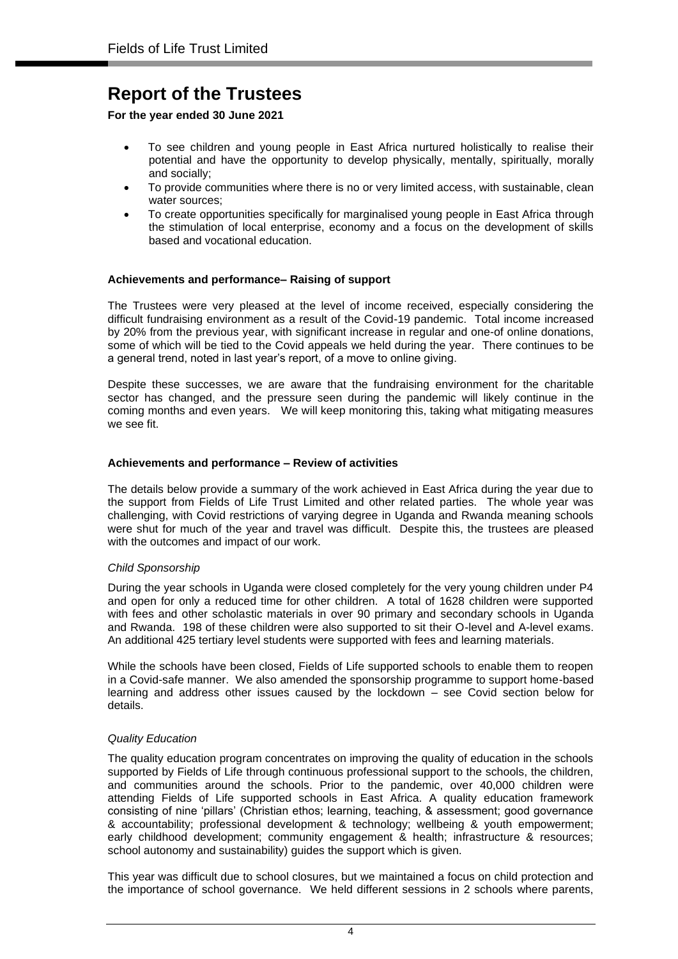**For the year ended 30 June 2021**

- To see children and young people in East Africa nurtured holistically to realise their potential and have the opportunity to develop physically, mentally, spiritually, morally and socially;
- To provide communities where there is no or very limited access, with sustainable, clean water sources;
- To create opportunities specifically for marginalised young people in East Africa through the stimulation of local enterprise, economy and a focus on the development of skills based and vocational education.

## **Achievements and performance– Raising of support**

The Trustees were very pleased at the level of income received, especially considering the difficult fundraising environment as a result of the Covid-19 pandemic. Total income increased by 20% from the previous year, with significant increase in regular and one-of online donations, some of which will be tied to the Covid appeals we held during the year. There continues to be a general trend, noted in last year's report, of a move to online giving.

Despite these successes, we are aware that the fundraising environment for the charitable sector has changed, and the pressure seen during the pandemic will likely continue in the coming months and even years. We will keep monitoring this, taking what mitigating measures we see fit.

## **Achievements and performance – Review of activities**

The details below provide a summary of the work achieved in East Africa during the year due to the support from Fields of Life Trust Limited and other related parties. The whole year was challenging, with Covid restrictions of varying degree in Uganda and Rwanda meaning schools were shut for much of the year and travel was difficult. Despite this, the trustees are pleased with the outcomes and impact of our work.

## *Child Sponsorship*

During the year schools in Uganda were closed completely for the very young children under P4 and open for only a reduced time for other children. A total of 1628 children were supported with fees and other scholastic materials in over 90 primary and secondary schools in Uganda and Rwanda. 198 of these children were also supported to sit their O-level and A-level exams. An additional 425 tertiary level students were supported with fees and learning materials.

While the schools have been closed, Fields of Life supported schools to enable them to reopen in a Covid-safe manner. We also amended the sponsorship programme to support home-based learning and address other issues caused by the lockdown – see Covid section below for details.

## *Quality Education*

The quality education program concentrates on improving the quality of education in the schools supported by Fields of Life through continuous professional support to the schools, the children, and communities around the schools. Prior to the pandemic, over 40,000 children were attending Fields of Life supported schools in East Africa. A quality education framework consisting of nine 'pillars' (Christian ethos; learning, teaching, & assessment; good governance & accountability; professional development & technology; wellbeing & youth empowerment; early childhood development; community engagement & health; infrastructure & resources; school autonomy and sustainability) guides the support which is given.

This year was difficult due to school closures, but we maintained a focus on child protection and the importance of school governance. We held different sessions in 2 schools where parents,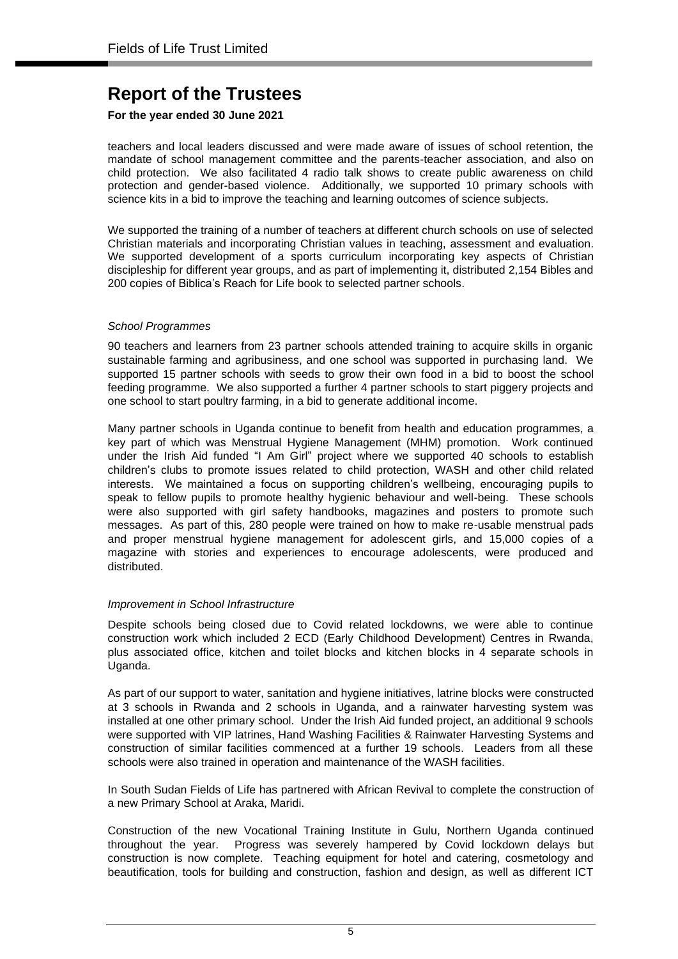## **For the year ended 30 June 2021**

teachers and local leaders discussed and were made aware of issues of school retention, the mandate of school management committee and the parents-teacher association, and also on child protection. We also facilitated 4 radio talk shows to create public awareness on child protection and gender-based violence. Additionally, we supported 10 primary schools with science kits in a bid to improve the teaching and learning outcomes of science subjects.

We supported the training of a number of teachers at different church schools on use of selected Christian materials and incorporating Christian values in teaching, assessment and evaluation. We supported development of a sports curriculum incorporating key aspects of Christian discipleship for different year groups, and as part of implementing it, distributed 2,154 Bibles and 200 copies of Biblica's Reach for Life book to selected partner schools.

## *School Programmes*

90 teachers and learners from 23 partner schools attended training to acquire skills in organic sustainable farming and agribusiness, and one school was supported in purchasing land. We supported 15 partner schools with seeds to grow their own food in a bid to boost the school feeding programme. We also supported a further 4 partner schools to start piggery projects and one school to start poultry farming, in a bid to generate additional income.

Many partner schools in Uganda continue to benefit from health and education programmes, a key part of which was Menstrual Hygiene Management (MHM) promotion. Work continued under the Irish Aid funded "I Am Girl" project where we supported 40 schools to establish children's clubs to promote issues related to child protection, WASH and other child related interests. We maintained a focus on supporting children's wellbeing, encouraging pupils to speak to fellow pupils to promote healthy hygienic behaviour and well-being. These schools were also supported with girl safety handbooks, magazines and posters to promote such messages. As part of this, 280 people were trained on how to make re-usable menstrual pads and proper menstrual hygiene management for adolescent girls, and 15,000 copies of a magazine with stories and experiences to encourage adolescents, were produced and distributed.

## *Improvement in School Infrastructure*

Despite schools being closed due to Covid related lockdowns, we were able to continue construction work which included 2 ECD (Early Childhood Development) Centres in Rwanda, plus associated office, kitchen and toilet blocks and kitchen blocks in 4 separate schools in Uganda.

As part of our support to water, sanitation and hygiene initiatives, latrine blocks were constructed at 3 schools in Rwanda and 2 schools in Uganda, and a rainwater harvesting system was installed at one other primary school. Under the Irish Aid funded project, an additional 9 schools were supported with VIP latrines, Hand Washing Facilities & Rainwater Harvesting Systems and construction of similar facilities commenced at a further 19 schools. Leaders from all these schools were also trained in operation and maintenance of the WASH facilities.

In South Sudan Fields of Life has partnered with African Revival to complete the construction of a new Primary School at Araka, Maridi.

Construction of the new Vocational Training Institute in Gulu, Northern Uganda continued throughout the year. Progress was severely hampered by Covid lockdown delays but construction is now complete. Teaching equipment for hotel and catering, cosmetology and beautification, tools for building and construction, fashion and design, as well as different ICT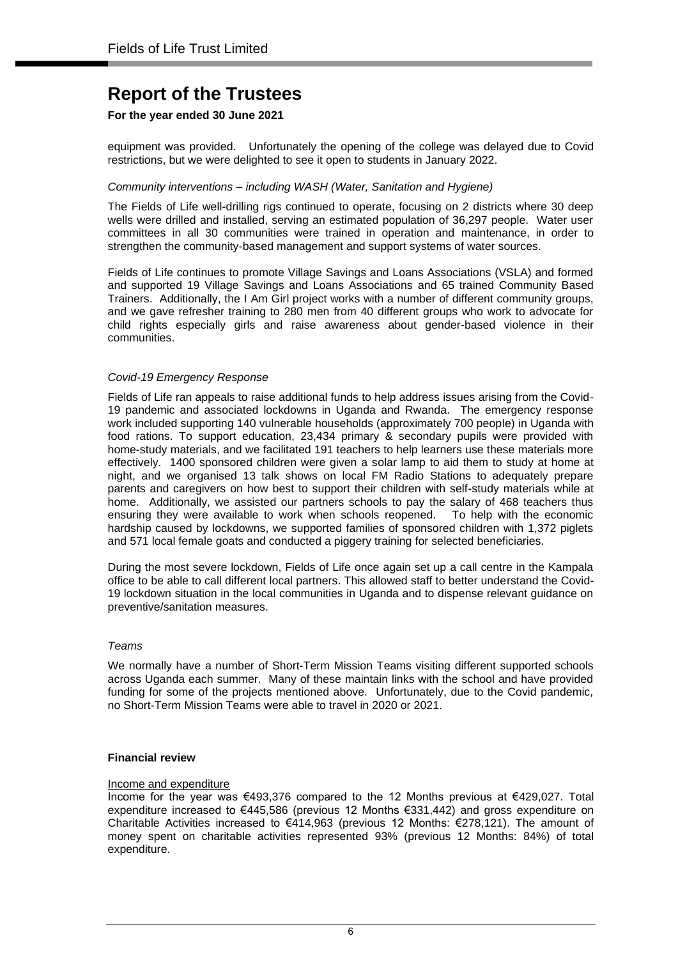## **For the year ended 30 June 2021**

equipment was provided. Unfortunately the opening of the college was delayed due to Covid restrictions, but we were delighted to see it open to students in January 2022.

### *Community interventions – including WASH (Water, Sanitation and Hygiene)*

The Fields of Life well-drilling rigs continued to operate, focusing on 2 districts where 30 deep wells were drilled and installed, serving an estimated population of 36,297 people. Water user committees in all 30 communities were trained in operation and maintenance, in order to strengthen the community-based management and support systems of water sources.

Fields of Life continues to promote Village Savings and Loans Associations (VSLA) and formed and supported 19 Village Savings and Loans Associations and 65 trained Community Based Trainers. Additionally, the I Am Girl project works with a number of different community groups, and we gave refresher training to 280 men from 40 different groups who work to advocate for child rights especially girls and raise awareness about gender-based violence in their communities.

### *Covid-19 Emergency Response*

Fields of Life ran appeals to raise additional funds to help address issues arising from the Covid-19 pandemic and associated lockdowns in Uganda and Rwanda. The emergency response work included supporting 140 vulnerable households (approximately 700 people) in Uganda with food rations. To support education, 23,434 primary & secondary pupils were provided with home-study materials, and we facilitated 191 teachers to help learners use these materials more effectively. 1400 sponsored children were given a solar lamp to aid them to study at home at night, and we organised 13 talk shows on local FM Radio Stations to adequately prepare parents and caregivers on how best to support their children with self-study materials while at home. Additionally, we assisted our partners schools to pay the salary of 468 teachers thus ensuring they were available to work when schools reopened. To help with the economic hardship caused by lockdowns, we supported families of sponsored children with 1,372 piglets and 571 local female goats and conducted a piggery training for selected beneficiaries.

During the most severe lockdown, Fields of Life once again set up a call centre in the Kampala office to be able to call different local partners. This allowed staff to better understand the Covid-19 lockdown situation in the local communities in Uganda and to dispense relevant guidance on preventive/sanitation measures.

#### *Teams*

We normally have a number of Short-Term Mission Teams visiting different supported schools across Uganda each summer. Many of these maintain links with the school and have provided funding for some of the projects mentioned above. Unfortunately, due to the Covid pandemic, no Short-Term Mission Teams were able to travel in 2020 or 2021.

## **Financial review**

#### Income and expenditure

Income for the year was €493,376 compared to the 12 Months previous at €429,027. Total expenditure increased to €445,586 (previous 12 Months €331,442) and gross expenditure on Charitable Activities increased to  $€414,963$  (previous 12 Months:  $€278,121$ ). The amount of money spent on charitable activities represented 93% (previous 12 Months: 84%) of total expenditure.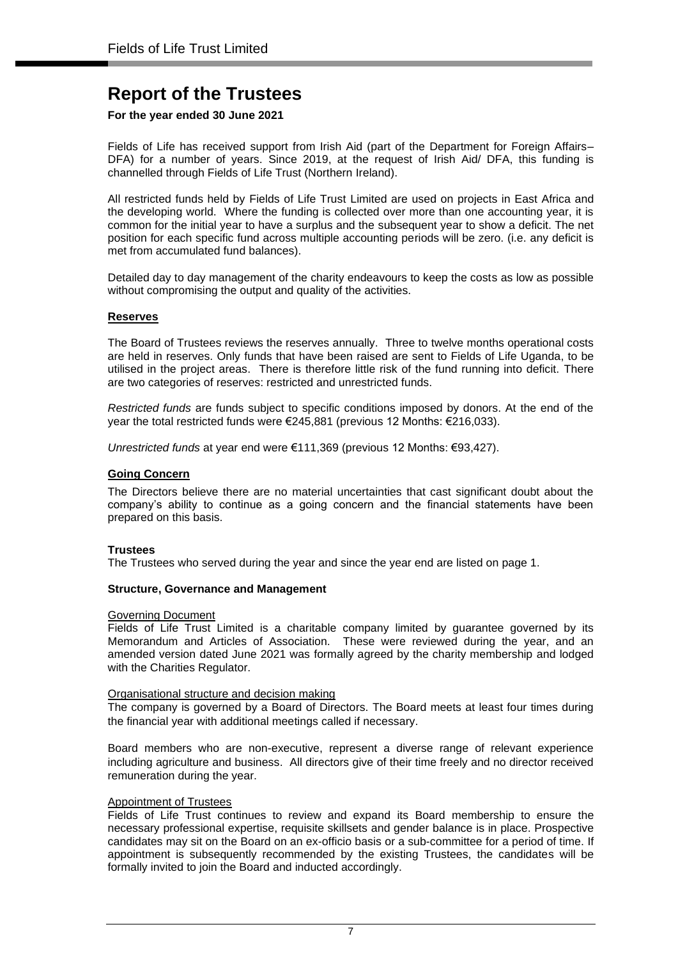## **For the year ended 30 June 2021**

Fields of Life has received support from Irish Aid (part of the Department for Foreign Affairs– DFA) for a number of years. Since 2019, at the request of Irish Aid/ DFA, this funding is channelled through Fields of Life Trust (Northern Ireland).

All restricted funds held by Fields of Life Trust Limited are used on projects in East Africa and the developing world. Where the funding is collected over more than one accounting year, it is common for the initial year to have a surplus and the subsequent year to show a deficit. The net position for each specific fund across multiple accounting periods will be zero. (i.e. any deficit is met from accumulated fund balances).

Detailed day to day management of the charity endeavours to keep the costs as low as possible without compromising the output and quality of the activities.

### **Reserves**

The Board of Trustees reviews the reserves annually. Three to twelve months operational costs are held in reserves. Only funds that have been raised are sent to Fields of Life Uganda, to be utilised in the project areas. There is therefore little risk of the fund running into deficit. There are two categories of reserves: restricted and unrestricted funds.

*Restricted funds* are funds subject to specific conditions imposed by donors. At the end of the year the total restricted funds were €245,881 (previous 12 Months: €216,033).

*Unrestricted funds* at year end were €111,369 (previous 12 Months: €93,427).

### **Going Concern**

The Directors believe there are no material uncertainties that cast significant doubt about the company's ability to continue as a going concern and the financial statements have been prepared on this basis.

#### **Trustees**

The Trustees who served during the year and since the year end are listed on page 1.

#### **Structure, Governance and Management**

#### Governing Document

Fields of Life Trust Limited is a charitable company limited by guarantee governed by its Memorandum and Articles of Association. These were reviewed during the year, and an amended version dated June 2021 was formally agreed by the charity membership and lodged with the Charities Regulator.

#### Organisational structure and decision making

The company is governed by a Board of Directors. The Board meets at least four times during the financial year with additional meetings called if necessary.

Board members who are non-executive, represent a diverse range of relevant experience including agriculture and business. All directors give of their time freely and no director received remuneration during the year.

#### Appointment of Trustees

Fields of Life Trust continues to review and expand its Board membership to ensure the necessary professional expertise, requisite skillsets and gender balance is in place. Prospective candidates may sit on the Board on an ex-officio basis or a sub-committee for a period of time. If appointment is subsequently recommended by the existing Trustees, the candidates will be formally invited to join the Board and inducted accordingly.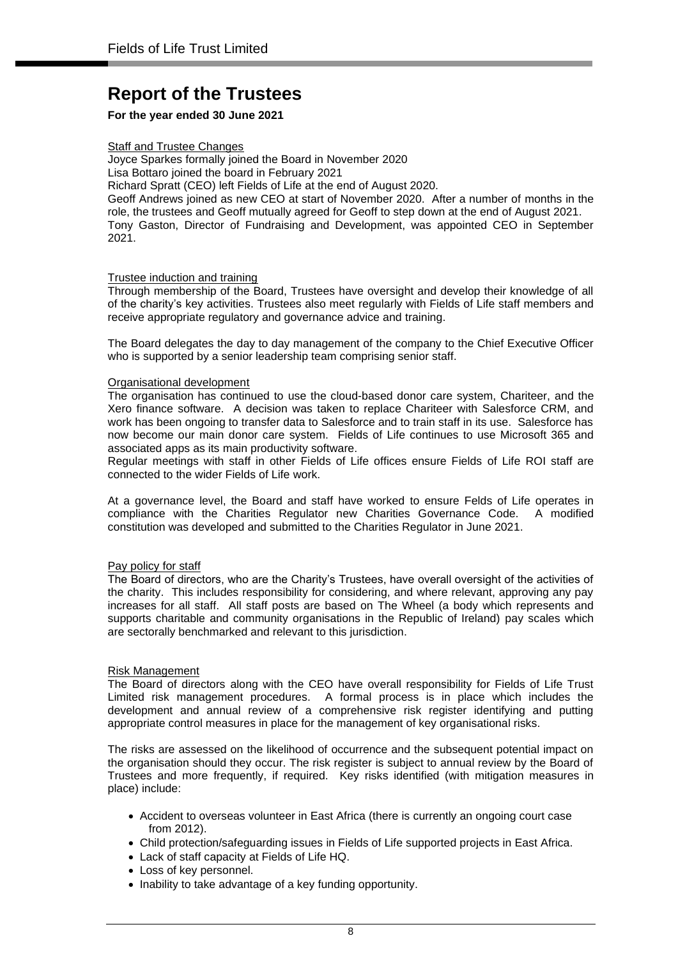## **For the year ended 30 June 2021**

### Staff and Trustee Changes

Joyce Sparkes formally joined the Board in November 2020

Lisa Bottaro joined the board in February 2021

Richard Spratt (CEO) left Fields of Life at the end of August 2020.

Geoff Andrews joined as new CEO at start of November 2020. After a number of months in the role, the trustees and Geoff mutually agreed for Geoff to step down at the end of August 2021. Tony Gaston, Director of Fundraising and Development, was appointed CEO in September 2021.

### Trustee induction and training

Through membership of the Board, Trustees have oversight and develop their knowledge of all of the charity's key activities. Trustees also meet regularly with Fields of Life staff members and receive appropriate regulatory and governance advice and training.

The Board delegates the day to day management of the company to the Chief Executive Officer who is supported by a senior leadership team comprising senior staff.

### Organisational development

The organisation has continued to use the cloud-based donor care system, Chariteer, and the Xero finance software. A decision was taken to replace Chariteer with Salesforce CRM, and work has been ongoing to transfer data to Salesforce and to train staff in its use. Salesforce has now become our main donor care system. Fields of Life continues to use Microsoft 365 and associated apps as its main productivity software.

Regular meetings with staff in other Fields of Life offices ensure Fields of Life ROI staff are connected to the wider Fields of Life work.

At a governance level, the Board and staff have worked to ensure Felds of Life operates in compliance with the Charities Regulator new Charities Governance Code. A modified constitution was developed and submitted to the Charities Regulator in June 2021.

## Pay policy for staff

The Board of directors, who are the Charity's Trustees, have overall oversight of the activities of the charity. This includes responsibility for considering, and where relevant, approving any pay increases for all staff. All staff posts are based on The Wheel (a body which represents and supports charitable and community organisations in the Republic of Ireland) pay scales which are sectorally benchmarked and relevant to this jurisdiction.

#### Risk Management

The Board of directors along with the CEO have overall responsibility for Fields of Life Trust Limited risk management procedures. A formal process is in place which includes the development and annual review of a comprehensive risk register identifying and putting appropriate control measures in place for the management of key organisational risks.

The risks are assessed on the likelihood of occurrence and the subsequent potential impact on the organisation should they occur. The risk register is subject to annual review by the Board of Trustees and more frequently, if required. Key risks identified (with mitigation measures in place) include:

- Accident to overseas volunteer in East Africa (there is currently an ongoing court case from 2012).
- Child protection/safeguarding issues in Fields of Life supported projects in East Africa.
- Lack of staff capacity at Fields of Life HQ.
- Loss of key personnel.
- Inability to take advantage of a key funding opportunity.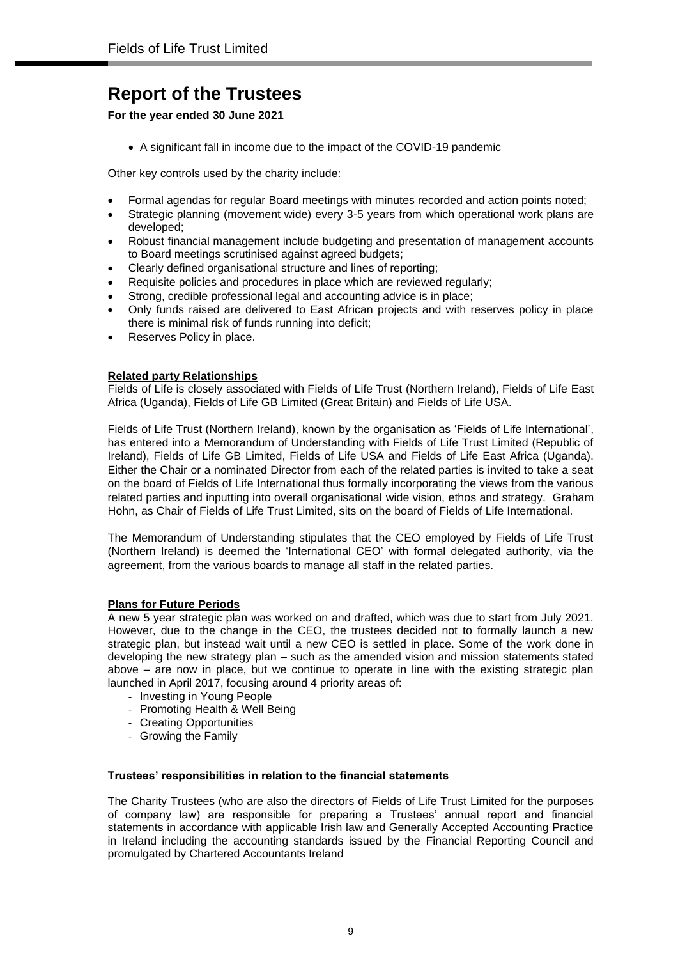**For the year ended 30 June 2021**

• A significant fall in income due to the impact of the COVID-19 pandemic

Other key controls used by the charity include:

- Formal agendas for regular Board meetings with minutes recorded and action points noted;
- Strategic planning (movement wide) every 3-5 years from which operational work plans are developed;
- Robust financial management include budgeting and presentation of management accounts to Board meetings scrutinised against agreed budgets;
- Clearly defined organisational structure and lines of reporting;
- Requisite policies and procedures in place which are reviewed regularly;
- Strong, credible professional legal and accounting advice is in place;
- Only funds raised are delivered to East African projects and with reserves policy in place there is minimal risk of funds running into deficit;
- Reserves Policy in place.

## **Related party Relationships**

Fields of Life is closely associated with Fields of Life Trust (Northern Ireland), Fields of Life East Africa (Uganda), Fields of Life GB Limited (Great Britain) and Fields of Life USA.

Fields of Life Trust (Northern Ireland), known by the organisation as 'Fields of Life International', has entered into a Memorandum of Understanding with Fields of Life Trust Limited (Republic of Ireland), Fields of Life GB Limited, Fields of Life USA and Fields of Life East Africa (Uganda). Either the Chair or a nominated Director from each of the related parties is invited to take a seat on the board of Fields of Life International thus formally incorporating the views from the various related parties and inputting into overall organisational wide vision, ethos and strategy. Graham Hohn, as Chair of Fields of Life Trust Limited, sits on the board of Fields of Life International.

The Memorandum of Understanding stipulates that the CEO employed by Fields of Life Trust (Northern Ireland) is deemed the 'International CEO' with formal delegated authority, via the agreement, from the various boards to manage all staff in the related parties.

## **Plans for Future Periods**

A new 5 year strategic plan was worked on and drafted, which was due to start from July 2021. However, due to the change in the CEO, the trustees decided not to formally launch a new strategic plan, but instead wait until a new CEO is settled in place. Some of the work done in developing the new strategy plan – such as the amended vision and mission statements stated above – are now in place, but we continue to operate in line with the existing strategic plan launched in April 2017, focusing around 4 priority areas of:

- Investing in Young People
- Promoting Health & Well Being
- Creating Opportunities
- Growing the Family

## **Trustees' responsibilities in relation to the financial statements**

The Charity Trustees (who are also the directors of Fields of Life Trust Limited for the purposes of company law) are responsible for preparing a Trustees' annual report and financial statements in accordance with applicable Irish law and Generally Accepted Accounting Practice in Ireland including the accounting standards issued by the Financial Reporting Council and promulgated by Chartered Accountants Ireland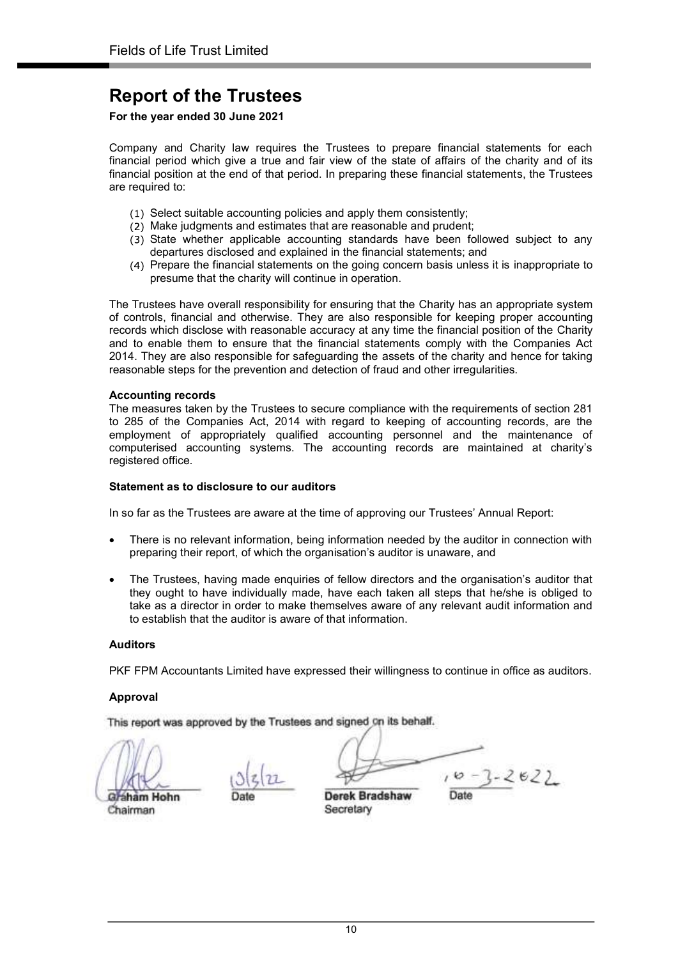For the year ended 30 June 2021

Company and Charity law requires the Trustees to prepare financial statements for each financial period which give a true and fair view of the state of affairs of the charity and of its financial position at the end of that period. In preparing these financial statements, the Trustees are required to:

- (1) Select suitable accounting policies and apply them consistently;
- (2) Make judgments and estimates that are reasonable and prudent;
- (3) State whether applicable accounting standards have been followed subject to any departures disclosed and explained in the financial statements; and
- Prepare the financial statements on the going concern basis unless it is inappropriate to presume that the charity will continue in operation.

The Trustees have overall responsibility for ensuring that the Charity has an appropriate system of controls, financial and otherwise. They are also responsible for keeping proper accounting records which disclose with reasonable accuracy at any time the financial position of the Charity and to enable them to ensure that the financial statements comply with the Companies Act 2014. They are also responsible for safeguarding the assets of the charity and hence for taking reasonable steps for the prevention and detection of fraud and other irregularities.

#### Accounting records

The measures taken by the Trustees to secure compliance with the requirements of section 281 to 285 of the Companies Act, 2014 with regard to keeping of accounting records, are the employment of appropriately qualified accounting personnel and the maintenance of computerised accounting systems. The accounting records are maintained at charity's registered office.

#### Statement as to disclosure to our auditors

In so far as the Trustees are aware at the time of approving our Trustees' Annual Report:

- There is no relevant information, being information needed by the auditor in connection with preparing their report, of which the organisation's auditor is unaware, and
- The Trustees, having made enquiries of fellow directors and the organisation's auditor that they ought to have individually made, have each taken all steps that he/she is obliged to take as a director in order to make themselves aware of any relevant audit information and to establish that the auditor is aware of that information.

#### Auditors

PKF FPM Accountants Limited have expressed their willingness to continue in office as auditors.

## Approval

This report was approved by the Trustees and signed on its behalf.

Gráham Hohn Graham Hohn Date Derek Bradshaw Date

 $10 - 3 - 2622$ 

Chairman Secretary

10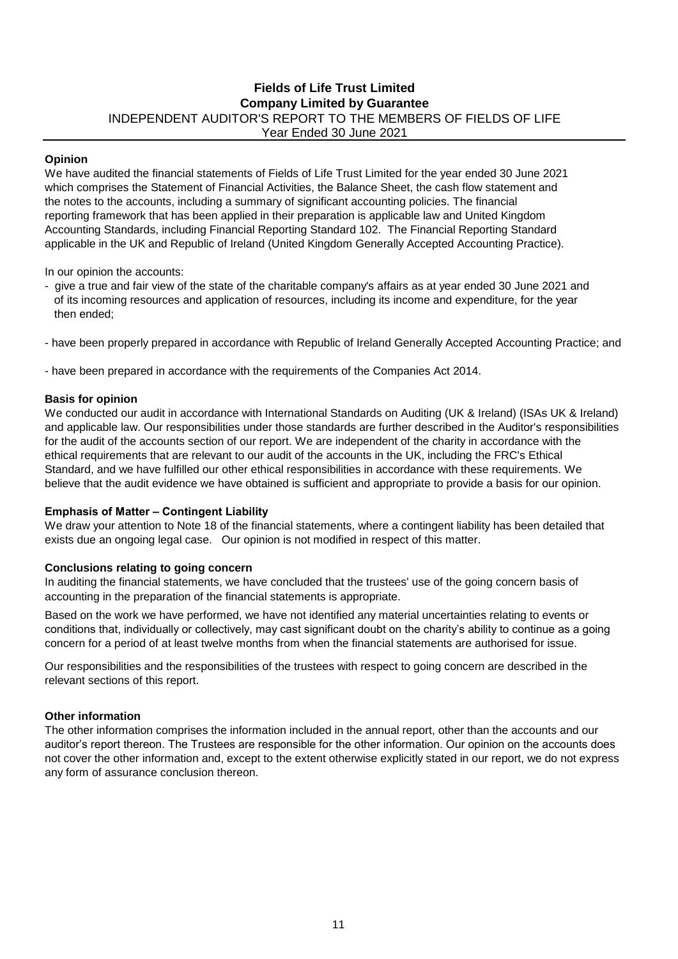## **Fields of Life Trust Limited Company Limited by Guarantee** INDEPENDENT AUDITOR'S REPORT TO THE MEMBERS OF FIELDS OF LIFE Year Ended 30 June 2021

## **Opinion**

We have audited the financial statements of Fields of Life Trust Limited for the year ended 30 June 2021 which comprises the Statement of Financial Activities, the Balance Sheet, the cash flow statement and the notes to the accounts, including a summary of significant accounting policies. The financial reporting framework that has been applied in their preparation is applicable law and United Kingdom Accounting Standards, including Financial Reporting Standard 102. The Financial Reporting Standard applicable in the UK and Republic of Ireland (United Kingdom Generally Accepted Accounting Practice).

In our opinion the accounts:

- give a true and fair view of the state of the charitable company's affairs as at year ended 30 June 2021 and of its incoming resources and application of resources, including its income and expenditure, for the year then ended;
- have been properly prepared in accordance with Republic of Ireland Generally Accepted Accounting Practice; and

- have been prepared in accordance with the requirements of the Companies Act 2014.

#### **Basis for opinion**

We conducted our audit in accordance with International Standards on Auditing (UK & Ireland) (ISAs UK & Ireland) and applicable law. Our responsibilities under those standards are further described in the Auditor's responsibilities for the audit of the accounts section of our report. We are independent of the charity in accordance with the ethical requirements that are relevant to our audit of the accounts in the UK, including the FRC's Ethical Standard, and we have fulfilled our other ethical responsibilities in accordance with these requirements. We believe that the audit evidence we have obtained is sufficient and appropriate to provide a basis for our opinion.

### **Emphasis of Matter – Contingent Liability**

We draw your attention to Note 18 of the financial statements, where a contingent liability has been detailed that exists due an ongoing legal case. Our opinion is not modified in respect of this matter.

## **Conclusions relating to going concern**

In auditing the financial statements, we have concluded that the trustees' use of the going concern basis of accounting in the preparation of the financial statements is appropriate.

Based on the work we have performed, we have not identified any material uncertainties relating to events or conditions that, individually or collectively, may cast significant doubt on the charity's ability to continue as a going concern for a period of at least twelve months from when the financial statements are authorised for issue.

Our responsibilities and the responsibilities of the trustees with respect to going concern are described in the relevant sections of this report.

#### **Other information**

The other information comprises the information included in the annual report, other than the accounts and our auditor's report thereon. The Trustees are responsible for the other information. Our opinion on the accounts does not cover the other information and, except to the extent otherwise explicitly stated in our report, we do not express any form of assurance conclusion thereon.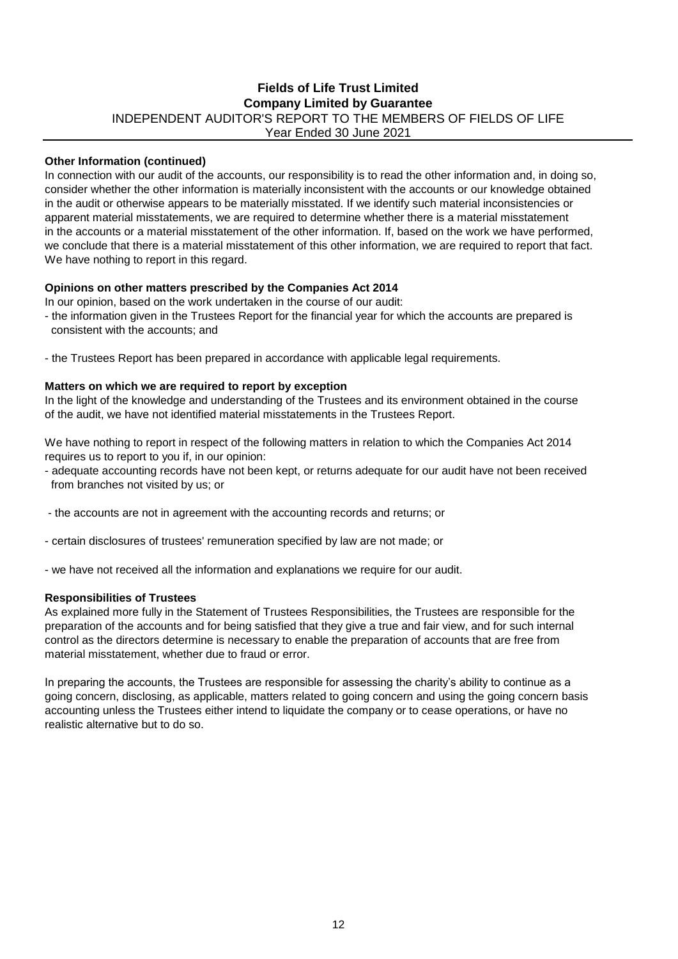## Year Ended 30 June 2021 **Fields of Life Trust Limited Company Limited by Guarantee** INDEPENDENT AUDITOR'S REPORT TO THE MEMBERS OF FIELDS OF LIFE

### **Other Information (continued)**

In connection with our audit of the accounts, our responsibility is to read the other information and, in doing so, consider whether the other information is materially inconsistent with the accounts or our knowledge obtained in the audit or otherwise appears to be materially misstated. If we identify such material inconsistencies or apparent material misstatements, we are required to determine whether there is a material misstatement in the accounts or a material misstatement of the other information. If, based on the work we have performed, we conclude that there is a material misstatement of this other information, we are required to report that fact. We have nothing to report in this regard.

### **Opinions on other matters prescribed by the Companies Act 2014**

In our opinion, based on the work undertaken in the course of our audit:

- the information given in the Trustees Report for the financial year for which the accounts are prepared is consistent with the accounts; and
- the Trustees Report has been prepared in accordance with applicable legal requirements.

#### **Matters on which we are required to report by exception**

In the light of the knowledge and understanding of the Trustees and its environment obtained in the course of the audit, we have not identified material misstatements in the Trustees Report.

We have nothing to report in respect of the following matters in relation to which the Companies Act 2014 requires us to report to you if, in our opinion:

- adequate accounting records have not been kept, or returns adequate for our audit have not been received from branches not visited by us; or

- the accounts are not in agreement with the accounting records and returns; or

- certain disclosures of trustees' remuneration specified by law are not made; or

- we have not received all the information and explanations we require for our audit.

#### **Responsibilities of Trustees**

As explained more fully in the Statement of Trustees Responsibilities, the Trustees are responsible for the preparation of the accounts and for being satisfied that they give a true and fair view, and for such internal control as the directors determine is necessary to enable the preparation of accounts that are free from material misstatement, whether due to fraud or error.

In preparing the accounts, the Trustees are responsible for assessing the charity's ability to continue as a going concern, disclosing, as applicable, matters related to going concern and using the going concern basis accounting unless the Trustees either intend to liquidate the company or to cease operations, or have no realistic alternative but to do so.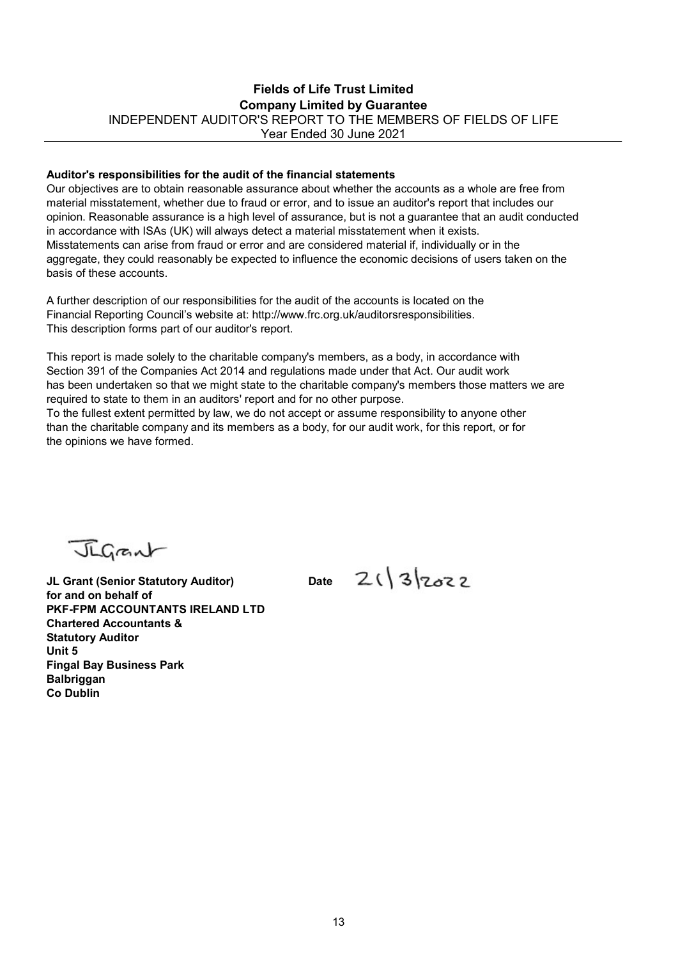## Fields of Life Trust Limited Company Limited by Guarantee INDEPENDENT AUDITOR'S REPORT TO THE MEMBERS OF FIELDS OF LIFE Year Ended 30 June 2021

#### Auditor's responsibilities for the audit of the financial statements

Our objectives are to obtain reasonable assurance about whether the accounts as a whole are free from material misstatement, whether due to fraud or error, and to issue an auditor's report that includes our opinion. Reasonable assurance is a high level of assurance, but is not a guarantee that an audit conducted in accordance with ISAs (UK) will always detect a material misstatement when it exists. Misstatements can arise from fraud or error and are considered material if, individually or in the aggregate, they could reasonably be expected to influence the economic decisions of users taken on the basis of these accounts.

A further description of our responsibilities for the audit of the accounts is located on the Financial Reporting Council's website at: http://www.frc.org.uk/auditorsresponsibilities. This description forms part of our auditor's report.

This report is made solely to the charitable company's members, as a body, in accordance with Section 391 of the Companies Act 2014 and regulations made under that Act. Our audit work has been undertaken so that we might state to the charitable company's members those matters we are required to state to them in an auditors' report and for no other purpose.

To the fullest extent permitted by law, we do not accept or assume responsibility to anyone other than the charitable company and its members as a body, for our audit work, for this report, or for the opinions we have formed.

Jigant

JL Grant (Senior Statutory Auditor) Date  $2(3)$  3  $23$ for and on behalf of PKF-FPM ACCOUNTANTS IRELAND LTD Chartered Accountants & Statutory Auditor Unit 5 Fingal Bay Business Park **Balbriggan** Co Dublin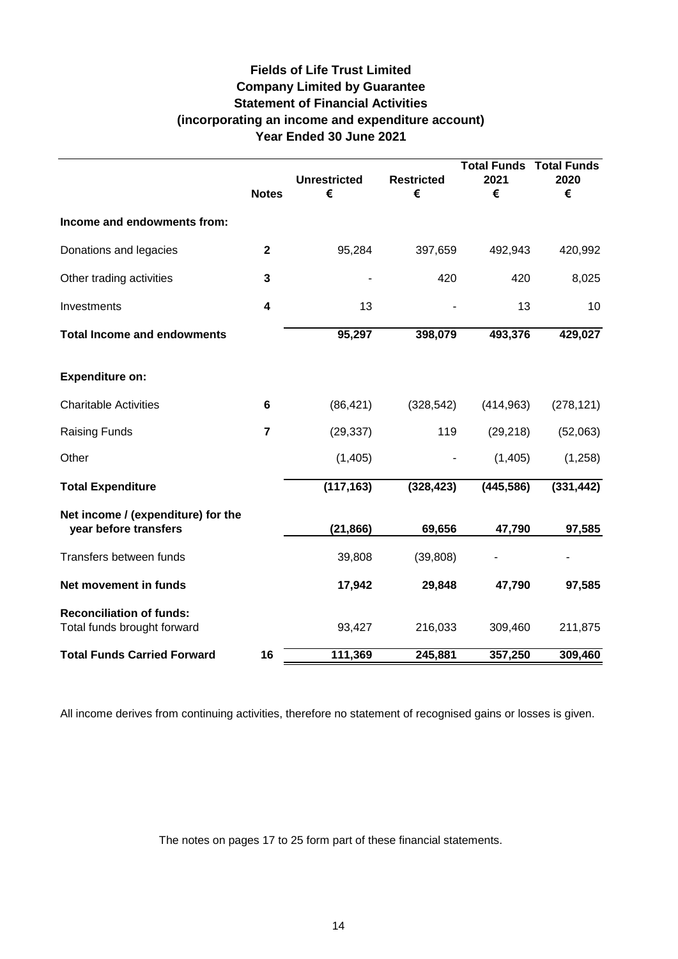## **Fields of Life Trust Limited Company Limited by Guarantee Statement of Financial Activities (incorporating an income and expenditure account) Year Ended 30 June 2021**

|                                                                | <b>Notes</b>            | <b>Unrestricted</b><br>€ | <b>Restricted</b><br>€ | <b>Total Funds Total Funds</b><br>2021<br>€ | 2020<br>€  |
|----------------------------------------------------------------|-------------------------|--------------------------|------------------------|---------------------------------------------|------------|
| Income and endowments from:                                    |                         |                          |                        |                                             |            |
| Donations and legacies                                         | $\mathbf{2}$            | 95,284                   | 397,659                | 492,943                                     | 420,992    |
| Other trading activities                                       | 3                       |                          | 420                    | 420                                         | 8,025      |
| Investments                                                    | $\overline{\mathbf{4}}$ | 13                       |                        | 13                                          | 10         |
| <b>Total Income and endowments</b>                             |                         | 95,297                   | 398,079                | 493,376                                     | 429,027    |
| <b>Expenditure on:</b>                                         |                         |                          |                        |                                             |            |
| <b>Charitable Activities</b>                                   | 6                       | (86, 421)                | (328, 542)             | (414, 963)                                  | (278, 121) |
| <b>Raising Funds</b>                                           | $\overline{7}$          | (29, 337)                | 119                    | (29, 218)                                   | (52,063)   |
| Other                                                          |                         | (1,405)                  |                        | (1,405)                                     | (1,258)    |
| <b>Total Expenditure</b>                                       |                         | (117, 163)               | (328, 423)             | (445, 586)                                  | (331, 442) |
| Net income / (expenditure) for the<br>year before transfers    |                         | (21, 866)                | 69,656                 | 47,790                                      | 97,585     |
| Transfers between funds                                        |                         | 39,808                   | (39, 808)              |                                             |            |
| Net movement in funds                                          |                         | 17,942                   | 29,848                 | 47,790                                      | 97,585     |
| <b>Reconciliation of funds:</b><br>Total funds brought forward |                         | 93,427                   | 216,033                | 309,460                                     | 211,875    |
| <b>Total Funds Carried Forward</b>                             | 16                      | 111,369                  | 245,881                | 357,250                                     | 309,460    |

All income derives from continuing activities, therefore no statement of recognised gains or losses is given.

The notes on pages 17 to 25 form part of these financial statements.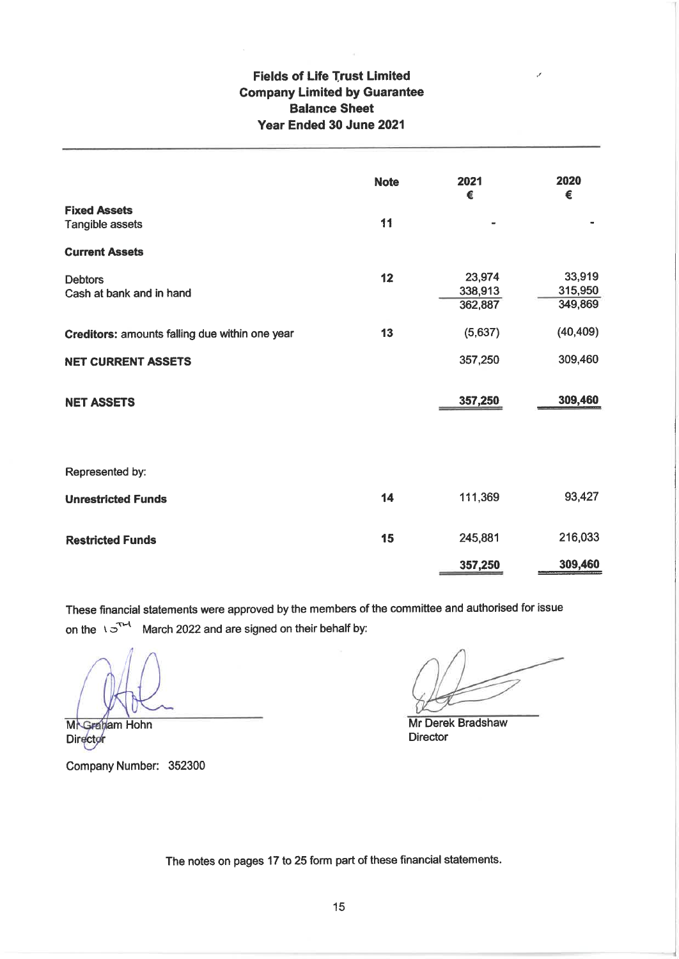## **Fields of Life Trust Limited Company Limited by Guarantee Balance Sheet** Year Ended 30 June 2021

|                                                | <b>Note</b> | 2021<br>€                    | 2020<br>€                    |
|------------------------------------------------|-------------|------------------------------|------------------------------|
| <b>Fixed Assets</b><br>Tangible assets         | 11          |                              |                              |
| <b>Current Assets</b>                          |             |                              |                              |
| <b>Debtors</b><br>Cash at bank and in hand     | 12          | 23,974<br>338,913<br>362,887 | 33,919<br>315,950<br>349,869 |
| Creditors: amounts falling due within one year | 13          | (5,637)                      | (40, 409)                    |
| <b>NET CURRENT ASSETS</b>                      |             | 357,250                      | 309,460                      |
| <b>NET ASSETS</b>                              |             | 357,250                      | 309,460                      |
| Represented by:                                |             |                              |                              |
| <b>Unrestricted Funds</b>                      | 14          | 111,369                      | 93,427                       |
| <b>Restricted Funds</b>                        | 15          | 245,881                      | 216,033                      |
|                                                |             | 357,250                      | 309,460                      |

These financial statements were approved by the members of the committee and authorised for issue on the  $\sqrt{3}^{T-1}$  March 2022 and are signed on their behalf by:

**M**NGraham Hohn Director

Company Number: 352300

Mr Derek Bradshaw **Director** 

The notes on pages 17 to 25 form part of these financial statements.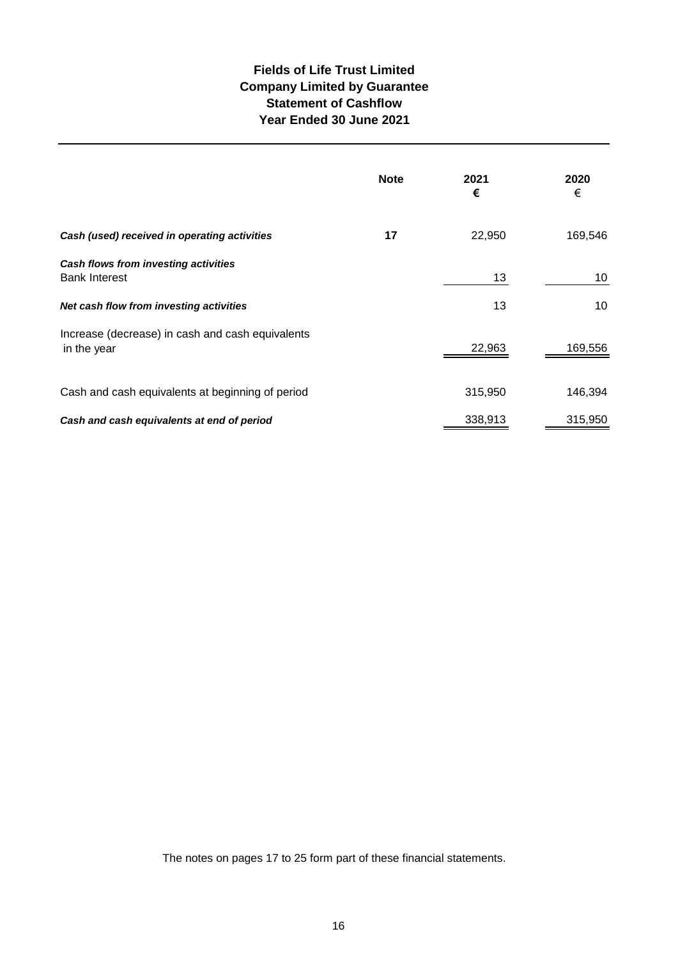## **Fields of Life Trust Limited Company Limited by Guarantee Statement of Cashflow Year Ended 30 June 2021**

|                                                                 | <b>Note</b> | 2021<br>€ | 2020<br>€ |
|-----------------------------------------------------------------|-------------|-----------|-----------|
| Cash (used) received in operating activities                    | 17          | 22,950    | 169,546   |
| Cash flows from investing activities<br><b>Bank Interest</b>    |             | 13        | 10        |
| Net cash flow from investing activities                         |             | 13        | 10        |
| Increase (decrease) in cash and cash equivalents<br>in the year |             | 22,963    | 169,556   |
| Cash and cash equivalents at beginning of period                |             | 315,950   | 146,394   |
| Cash and cash equivalents at end of period                      |             | 338,913   | 315,950   |

The notes on pages 17 to 25 form part of these financial statements.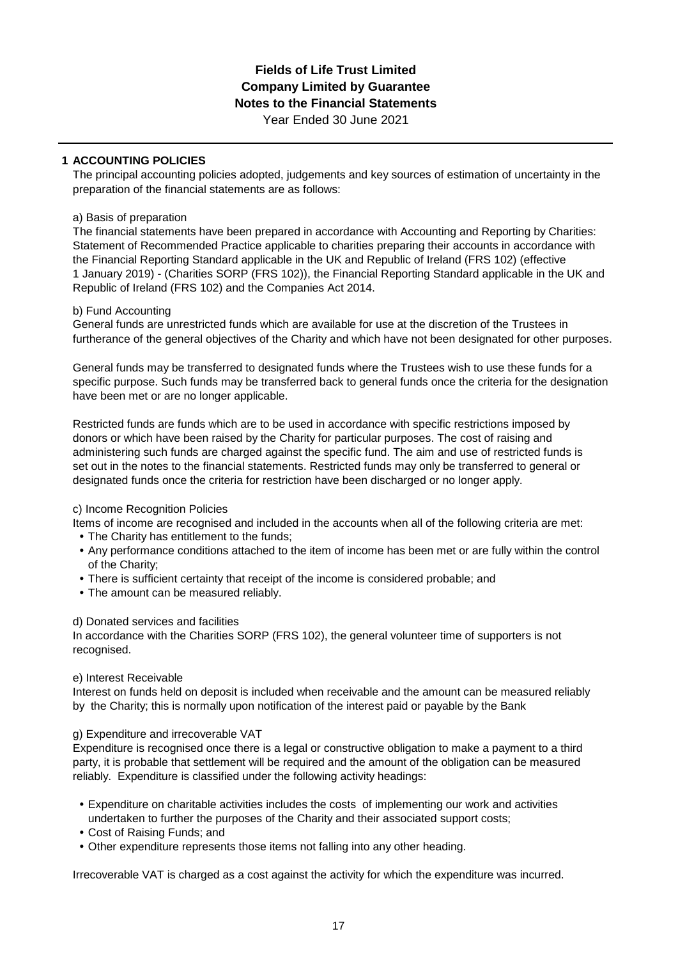Year Ended 30 June 2021

## **1 ACCOUNTING POLICIES**

The principal accounting policies adopted, judgements and key sources of estimation of uncertainty in the preparation of the financial statements are as follows:

## a) Basis of preparation

The financial statements have been prepared in accordance with Accounting and Reporting by Charities: Statement of Recommended Practice applicable to charities preparing their accounts in accordance with the Financial Reporting Standard applicable in the UK and Republic of Ireland (FRS 102) (effective 1 January 2019) - (Charities SORP (FRS 102)), the Financial Reporting Standard applicable in the UK and Republic of Ireland (FRS 102) and the Companies Act 2014.

## b) Fund Accounting

General funds are unrestricted funds which are available for use at the discretion of the Trustees in furtherance of the general objectives of the Charity and which have not been designated for other purposes.

General funds may be transferred to designated funds where the Trustees wish to use these funds for a specific purpose. Such funds may be transferred back to general funds once the criteria for the designation have been met or are no longer applicable.

Restricted funds are funds which are to be used in accordance with specific restrictions imposed by donors or which have been raised by the Charity for particular purposes. The cost of raising and administering such funds are charged against the specific fund. The aim and use of restricted funds is set out in the notes to the financial statements. Restricted funds may only be transferred to general or designated funds once the criteria for restriction have been discharged or no longer apply.

## c) Income Recognition Policies

Items of income are recognised and included in the accounts when all of the following criteria are met:

- **•** The Charity has entitlement to the funds;
- **•** Any performance conditions attached to the item of income has been met or are fully within the control of the Charity;
- **•** There is sufficient certainty that receipt of the income is considered probable; and
- **•** The amount can be measured reliably.

## d) Donated services and facilities

In accordance with the Charities SORP (FRS 102), the general volunteer time of supporters is not recognised.

## e) Interest Receivable

Interest on funds held on deposit is included when receivable and the amount can be measured reliably by the Charity; this is normally upon notification of the interest paid or payable by the Bank

## g) Expenditure and irrecoverable VAT

Expenditure is recognised once there is a legal or constructive obligation to make a payment to a third party, it is probable that settlement will be required and the amount of the obligation can be measured reliably. Expenditure is classified under the following activity headings:

- **•** Expenditure on charitable activities includes the costs of implementing our work and activities undertaken to further the purposes of the Charity and their associated support costs;
- **•** Cost of Raising Funds; and
- **•** Other expenditure represents those items not falling into any other heading.

Irrecoverable VAT is charged as a cost against the activity for which the expenditure was incurred.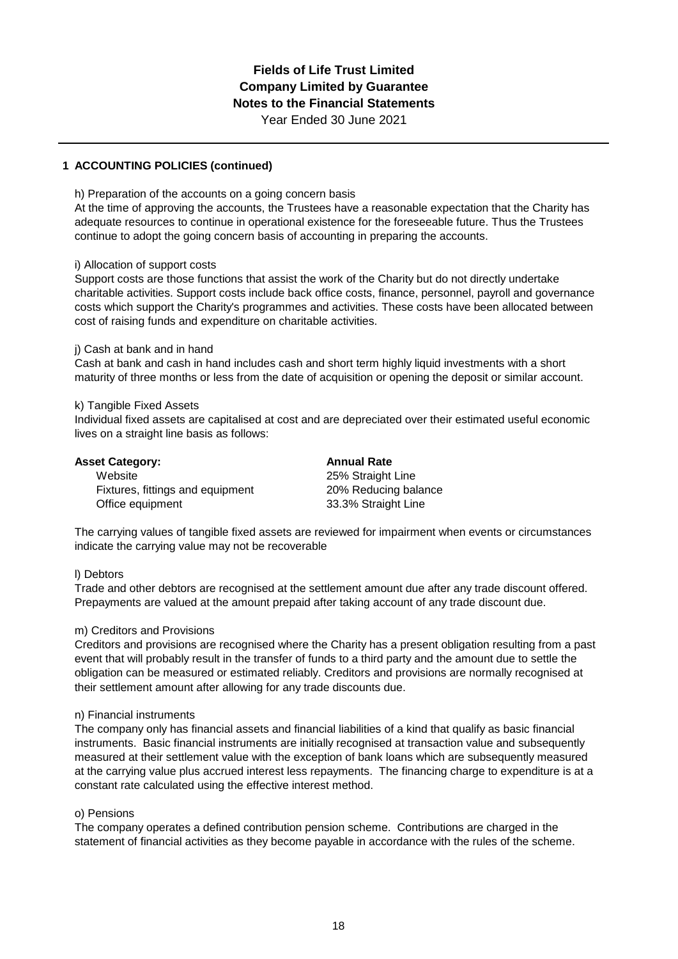**1 ACCOUNTING POLICIES (continued)**

h) Preparation of the accounts on a going concern basis

At the time of approving the accounts, the Trustees have a reasonable expectation that the Charity has adequate resources to continue in operational existence for the foreseeable future. Thus the Trustees continue to adopt the going concern basis of accounting in preparing the accounts.

#### i) Allocation of support costs

Support costs are those functions that assist the work of the Charity but do not directly undertake charitable activities. Support costs include back office costs, finance, personnel, payroll and governance costs which support the Charity's programmes and activities. These costs have been allocated between cost of raising funds and expenditure on charitable activities.

#### j) Cash at bank and in hand

Cash at bank and cash in hand includes cash and short term highly liquid investments with a short maturity of three months or less from the date of acquisition or opening the deposit or similar account.

#### k) Tangible Fixed Assets

Individual fixed assets are capitalised at cost and are depreciated over their estimated useful economic lives on a straight line basis as follows:

| <b>Asset Category:</b>           | <b>Annual Rate</b>   |
|----------------------------------|----------------------|
| Website                          | 25% Straight Line    |
| Fixtures, fittings and equipment | 20% Reducing balance |
| Office equipment                 | 33.3% Straight Line  |

The carrying values of tangible fixed assets are reviewed for impairment when events or circumstances indicate the carrying value may not be recoverable

#### l) Debtors

Trade and other debtors are recognised at the settlement amount due after any trade discount offered. Prepayments are valued at the amount prepaid after taking account of any trade discount due.

#### m) Creditors and Provisions

Creditors and provisions are recognised where the Charity has a present obligation resulting from a past event that will probably result in the transfer of funds to a third party and the amount due to settle the obligation can be measured or estimated reliably. Creditors and provisions are normally recognised at their settlement amount after allowing for any trade discounts due.

#### n) Financial instruments

The company only has financial assets and financial liabilities of a kind that qualify as basic financial instruments. Basic financial instruments are initially recognised at transaction value and subsequently measured at their settlement value with the exception of bank loans which are subsequently measured at the carrying value plus accrued interest less repayments. The financing charge to expenditure is at a constant rate calculated using the effective interest method.

#### o) Pensions

The company operates a defined contribution pension scheme. Contributions are charged in the statement of financial activities as they become payable in accordance with the rules of the scheme.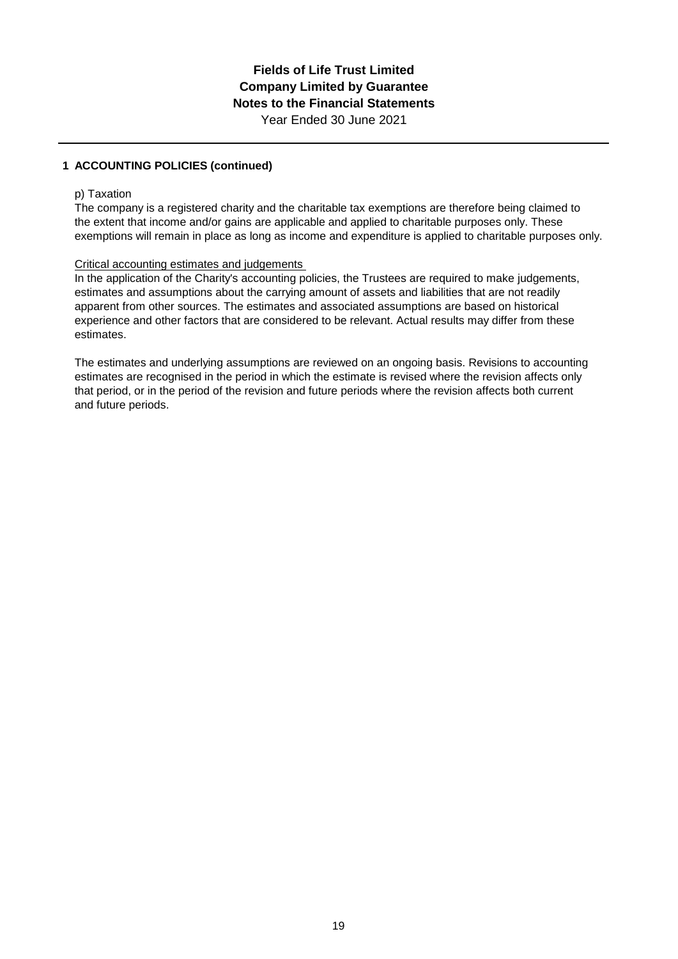## **1 ACCOUNTING POLICIES (continued)**

#### p) Taxation

The company is a registered charity and the charitable tax exemptions are therefore being claimed to the extent that income and/or gains are applicable and applied to charitable purposes only. These exemptions will remain in place as long as income and expenditure is applied to charitable purposes only.

### Critical accounting estimates and judgements

In the application of the Charity's accounting policies, the Trustees are required to make judgements, estimates and assumptions about the carrying amount of assets and liabilities that are not readily apparent from other sources. The estimates and associated assumptions are based on historical experience and other factors that are considered to be relevant. Actual results may differ from these estimates.

The estimates and underlying assumptions are reviewed on an ongoing basis. Revisions to accounting estimates are recognised in the period in which the estimate is revised where the revision affects only that period, or in the period of the revision and future periods where the revision affects both current and future periods.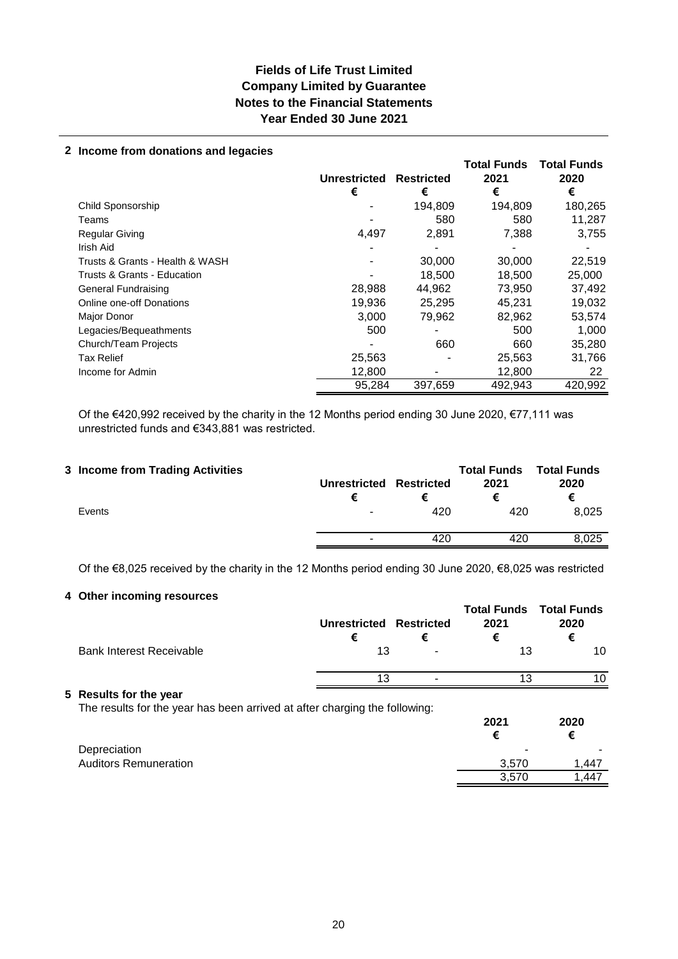## **Fields of Life Trust Limited Company Limited by Guarantee Notes to the Financial Statements Year Ended 30 June 2021**

#### **2 Income from donations and legacies**

|                                 | <b>Unrestricted</b><br>€ | <b>Restricted</b><br>€ | <b>Total Funds</b><br>2021<br>€ | <b>Total Funds</b><br>2020<br>€ |
|---------------------------------|--------------------------|------------------------|---------------------------------|---------------------------------|
| Child Sponsorship               |                          | 194,809                | 194,809                         | 180,265                         |
| Teams                           |                          | 580                    | 580                             | 11,287                          |
| <b>Regular Giving</b>           | 4,497                    | 2,891                  | 7,388                           | 3,755                           |
| Irish Aid                       |                          |                        |                                 |                                 |
| Trusts & Grants - Health & WASH |                          | 30,000                 | 30,000                          | 22,519                          |
| Trusts & Grants - Education     |                          | 18,500                 | 18,500                          | 25,000                          |
| General Fundraising             | 28,988                   | 44,962                 | 73,950                          | 37,492                          |
| <b>Online one-off Donations</b> | 19,936                   | 25,295                 | 45,231                          | 19,032                          |
| Major Donor                     | 3,000                    | 79,962                 | 82,962                          | 53,574                          |
| Legacies/Bequeathments          | 500                      |                        | 500                             | 1.000                           |
| Church/Team Projects            |                          | 660                    | 660                             | 35,280                          |
| <b>Tax Relief</b>               | 25,563                   |                        | 25,563                          | 31,766                          |
| Income for Admin                | 12,800                   |                        | 12,800                          | 22                              |
|                                 | 95,284                   | 397,659                | 492,943                         | 420,992                         |

Of the €420,992 received by the charity in the 12 Months period ending 30 June 2020, €77,111 was unrestricted funds and €343,881 was restricted.

| 420<br>420<br>Events | 3 Income from Trading Activities | Unrestricted Restricted |     | <b>Total Funds</b><br>2021 | <b>Total Funds</b><br>2020<br>€ |
|----------------------|----------------------------------|-------------------------|-----|----------------------------|---------------------------------|
|                      |                                  |                         |     |                            | 8.025                           |
|                      |                                  |                         | 420 | 420                        | 8,025                           |

Of the €8,025 received by the charity in the 12 Months period ending 30 June 2020, €8,025 was restricted

## **4 Other incoming resources**

|                                                                                                      | Unrestricted Restricted<br>€ | € | <b>Total Funds Total Funds</b><br>2021<br>€ | 2020<br>€ |
|------------------------------------------------------------------------------------------------------|------------------------------|---|---------------------------------------------|-----------|
| <b>Bank Interest Receivable</b>                                                                      | 13                           |   | 13                                          | 10        |
|                                                                                                      | 13                           |   | 13                                          | 10        |
| 5 Results for the year<br>The results for the year has been arrived at after charging the following: |                              |   | 2021<br>€                                   | 2020<br>€ |
| Depreciation                                                                                         |                              |   |                                             |           |

Auditors Remuneration **3,570** 1,447

3,570 1,447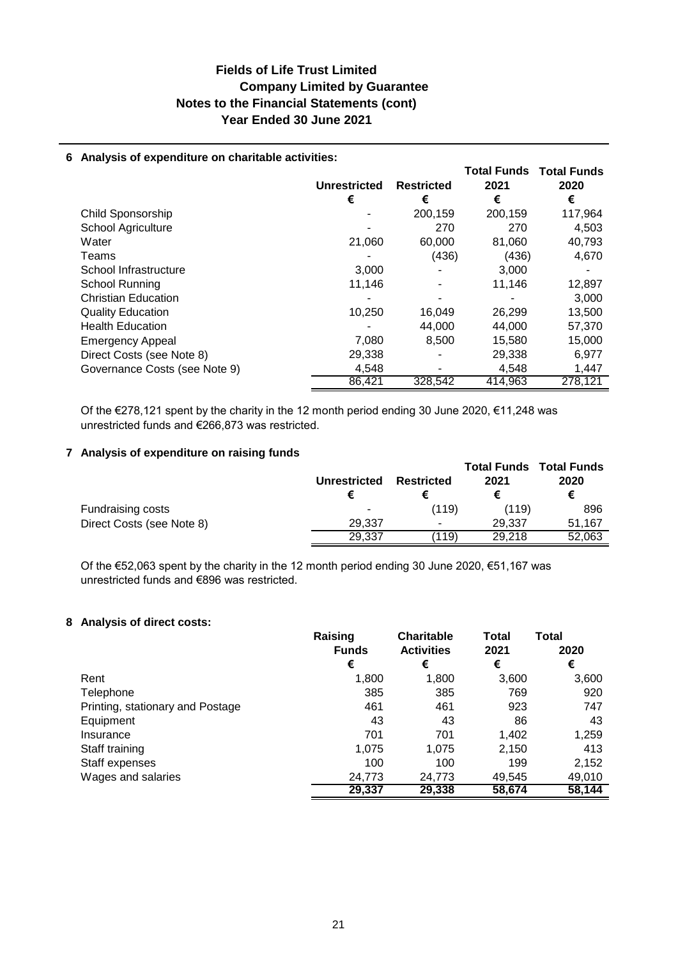## **Fields of Life Trust Limited Notes to the Financial Statements (cont) Year Ended 30 June 2021 Company Limited by Guarantee**

### **6 Analysis of expenditure on charitable activities:**

|                               |                     |                   |         | <b>Total Funds Total Funds</b> |
|-------------------------------|---------------------|-------------------|---------|--------------------------------|
|                               | <b>Unrestricted</b> | <b>Restricted</b> | 2021    | 2020                           |
|                               | €                   | €                 | €       | €                              |
| Child Sponsorship             |                     | 200,159           | 200,159 | 117,964                        |
| <b>School Agriculture</b>     |                     | 270               | 270     | 4,503                          |
| Water                         | 21,060              | 60,000            | 81,060  | 40,793                         |
| Teams                         |                     | (436)             | (436)   | 4,670                          |
| School Infrastructure         | 3,000               |                   | 3,000   |                                |
| School Running                | 11,146              |                   | 11,146  | 12,897                         |
| <b>Christian Education</b>    |                     |                   |         | 3,000                          |
| <b>Quality Education</b>      | 10,250              | 16,049            | 26,299  | 13,500                         |
| <b>Health Education</b>       |                     | 44.000            | 44.000  | 57,370                         |
| <b>Emergency Appeal</b>       | 7,080               | 8,500             | 15,580  | 15,000                         |
| Direct Costs (see Note 8)     | 29,338              |                   | 29,338  | 6,977                          |
| Governance Costs (see Note 9) | 4,548               |                   | 4.548   | 1,447                          |
|                               | 86,421              | 328,542           | 414.963 | 278.121                        |

Of the €278,121 spent by the charity in the 12 month period ending 30 June 2020, €11,248 was unrestricted funds and €266,873 was restricted.

### **7 Analysis of expenditure on raising funds**

|                           | <b>Unrestricted</b> | <b>Restricted</b> | 2021   | <b>Total Funds Total Funds</b><br>2020<br>€ |
|---------------------------|---------------------|-------------------|--------|---------------------------------------------|
| Fundraising costs         | -                   | (119)             | (119)  | 896                                         |
| Direct Costs (see Note 8) | 29.337              | ۰                 | 29.337 | 51.167                                      |
|                           | 29.337              | (119)             | 29.218 | 52.063                                      |

Of the €52,063 spent by the charity in the 12 month period ending 30 June 2020, €51,167 was unrestricted funds and €896 was restricted.

### **8 Analysis of direct costs:**

|                                  | Raising<br><b>Funds</b> | <b>Charitable</b><br><b>Activities</b> | <b>Total</b><br>2021 | Total<br>2020 |
|----------------------------------|-------------------------|----------------------------------------|----------------------|---------------|
|                                  | €                       | €                                      | €                    | €             |
| Rent                             | 1,800                   | 1,800                                  | 3,600                | 3,600         |
| Telephone                        | 385                     | 385                                    | 769                  | 920           |
| Printing, stationary and Postage | 461                     | 461                                    | 923                  | 747           |
| Equipment                        | 43                      | 43                                     | 86                   | 43            |
| Insurance                        | 701                     | 701                                    | 1,402                | 1,259         |
| Staff training                   | 1,075                   | 1.075                                  | 2,150                | 413           |
| Staff expenses                   | 100                     | 100                                    | 199                  | 2,152         |
| Wages and salaries               | 24,773                  | 24,773                                 | 49,545               | 49,010        |
|                                  | 29,337                  | 29,338                                 | 58,674               | 58,144        |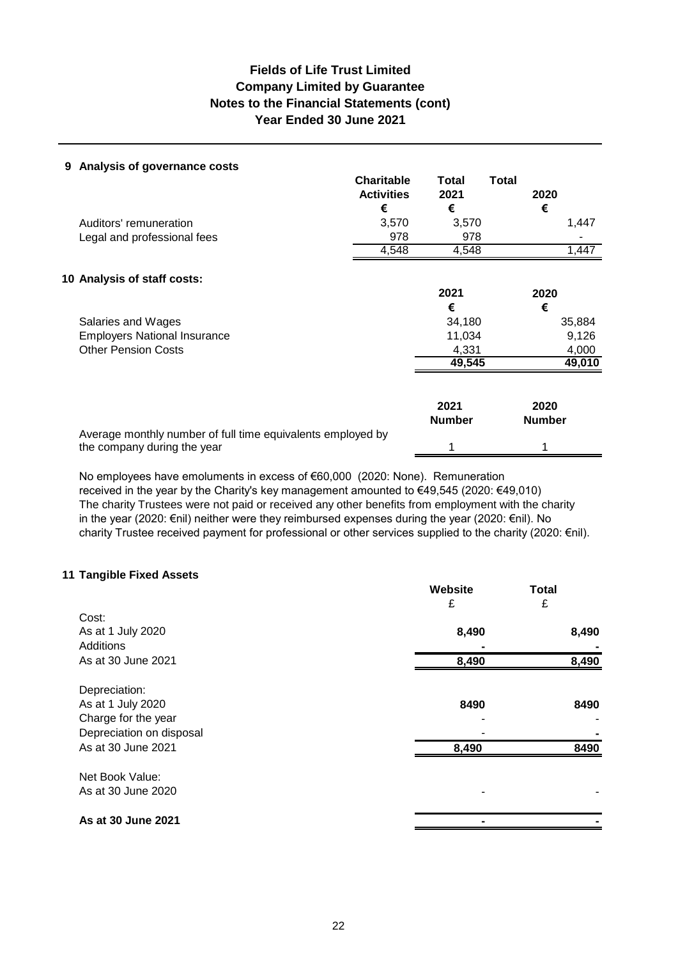## **Fields of Life Trust Limited Notes to the Financial Statements (cont) Year Ended 30 June 2021 Company Limited by Guarantee**

### **9 Analysis of governance costs**

|                                                                                            | <b>Charitable</b><br><b>Activities</b><br>€ | Total<br>2021<br>€    | <b>Total</b><br>2020<br>€ |
|--------------------------------------------------------------------------------------------|---------------------------------------------|-----------------------|---------------------------|
| Auditors' remuneration                                                                     | 3,570                                       | 3,570                 | 1,447                     |
| Legal and professional fees                                                                | 978                                         | 978                   |                           |
|                                                                                            | 4,548                                       | 4,548                 | 1,447                     |
| 10 Analysis of staff costs:                                                                |                                             |                       |                           |
|                                                                                            |                                             | 2021                  | 2020                      |
|                                                                                            |                                             | €                     | €                         |
| Salaries and Wages                                                                         |                                             | 34,180                | 35,884                    |
| <b>Employers National Insurance</b>                                                        |                                             | 11,034                | 9,126                     |
| <b>Other Pension Costs</b>                                                                 |                                             | 4,331                 | 4,000                     |
|                                                                                            |                                             | 49,545                | 49,010                    |
|                                                                                            |                                             | 2021<br><b>Number</b> | 2020<br><b>Number</b>     |
| Average monthly number of full time equivalents employed by<br>the company during the year |                                             |                       |                           |

No employees have emoluments in excess of €60,000 (2020: None). Remuneration received in the year by the Charity's key management amounted to €49,545 (2020: €49,010) The charity Trustees were not paid or received any other benefits from employment with the charity in the year (2020: €nil) neither were they reimbursed expenses during the year (2020: €nil). No charity Trustee received payment for professional or other services supplied to the charity (2020: €nil).

#### **11 Tangible Fixed Assets**

|                          | Website | <b>Total</b> |
|--------------------------|---------|--------------|
| Cost:                    | £       | £            |
| As at 1 July 2020        | 8,490   | 8,490        |
| Additions                |         |              |
| As at 30 June 2021       | 8,490   | 8,490        |
| Depreciation:            |         |              |
| As at 1 July 2020        | 8490    | 8490         |
| Charge for the year      |         |              |
| Depreciation on disposal |         |              |
| As at 30 June 2021       | 8,490   | 8490         |
| Net Book Value:          |         |              |
| As at 30 June 2020       |         |              |
| As at 30 June 2021       |         |              |
|                          |         |              |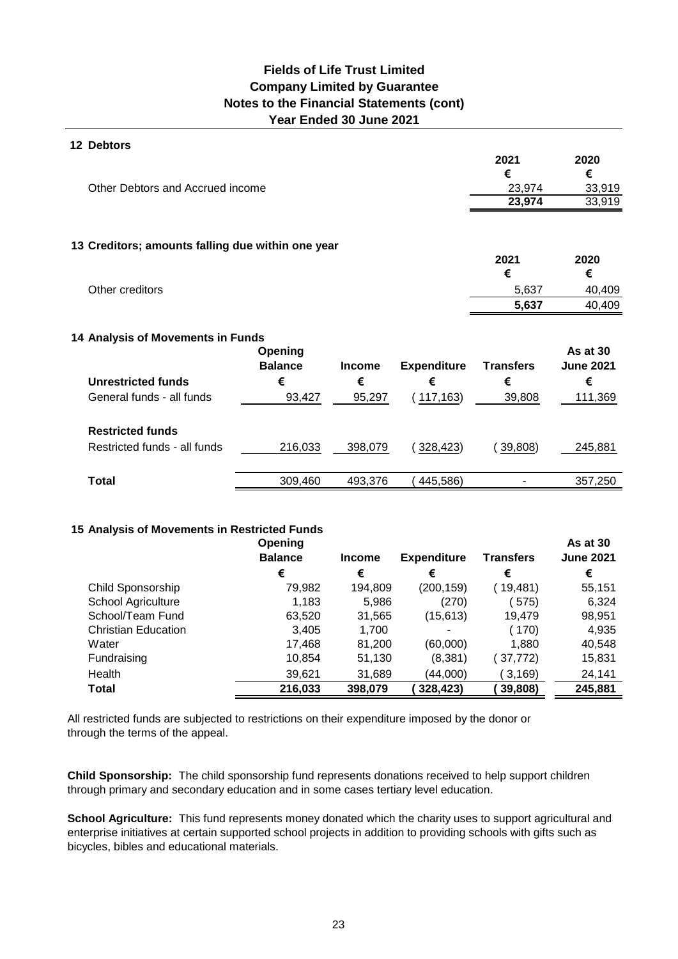## **Year Ended 30 June 2021 Fields of Life Trust Limited Company Limited by Guarantee Notes to the Financial Statements (cont)**

| <b>12 Debtors</b>                                 |                |               |                    |                  |                  |
|---------------------------------------------------|----------------|---------------|--------------------|------------------|------------------|
|                                                   |                |               |                    | 2021             | 2020             |
|                                                   |                |               |                    | €                | €                |
| Other Debtors and Accrued income                  |                |               |                    | 23,974           | 33,919           |
|                                                   |                |               |                    | 23,974           | 33,919           |
|                                                   |                |               |                    |                  |                  |
| 13 Creditors; amounts falling due within one year |                |               |                    | 2021             | 2020             |
|                                                   |                |               |                    | €                | €                |
| Other creditors                                   |                |               |                    | 5,637            | 40,409           |
|                                                   |                |               |                    | 5,637            | 40,409           |
|                                                   |                |               |                    |                  |                  |
| 14 Analysis of Movements in Funds                 |                |               |                    |                  |                  |
|                                                   | Opening        |               |                    |                  | As at 30         |
|                                                   | <b>Balance</b> | <b>Income</b> | <b>Expenditure</b> | <b>Transfers</b> | <b>June 2021</b> |
| <b>Unrestricted funds</b>                         | €              | €             | €                  | €                | €                |
| General funds - all funds                         | 93,427         | 95,297        | (117, 163)         | 39,808           | 111,369          |
| <b>Restricted funds</b>                           |                |               |                    |                  |                  |
|                                                   |                |               |                    |                  |                  |
| Restricted funds - all funds                      | 216,033        | 398,079       | 328,423)           | 39,808)          | 245,881          |
| <b>Total</b>                                      | 309,460        | 493,376       | 445,586)           |                  | 357,250          |
|                                                   |                |               |                    |                  |                  |

### **15 Analysis of Movements in Restricted Funds**

|                            | Opening        |               |                    |                  | As at 30         |
|----------------------------|----------------|---------------|--------------------|------------------|------------------|
|                            | <b>Balance</b> | <b>Income</b> | <b>Expenditure</b> | <b>Transfers</b> | <b>June 2021</b> |
|                            | €              | €             | €                  | €                | €                |
| Child Sponsorship          | 79,982         | 194,809       | (200, 159)         | 19,481)          | 55,151           |
| School Agriculture         | 1,183          | 5,986         | (270)              | 575)             | 6,324            |
| School/Team Fund           | 63,520         | 31,565        | (15, 613)          | 19,479           | 98,951           |
| <b>Christian Education</b> | 3,405          | 1,700         |                    | (170)            | 4,935            |
| Water                      | 17,468         | 81,200        | (60,000)           | 1,880            | 40,548           |
| Fundraising                | 10,854         | 51,130        | (8,381)            | 37,772)          | 15,831           |
| Health                     | 39,621         | 31,689        | (44,000)           | 3,169            | 24,141           |
| Total                      | 216,033        | 398,079       | 328,423)           | 39,808)          | 245,881          |

All restricted funds are subjected to restrictions on their expenditure imposed by the donor or through the terms of the appeal.

**Child Sponsorship:** The child sponsorship fund represents donations received to help support children through primary and secondary education and in some cases tertiary level education.

**School Agriculture:** This fund represents money donated which the charity uses to support agricultural and enterprise initiatives at certain supported school projects in addition to providing schools with gifts such as bicycles, bibles and educational materials.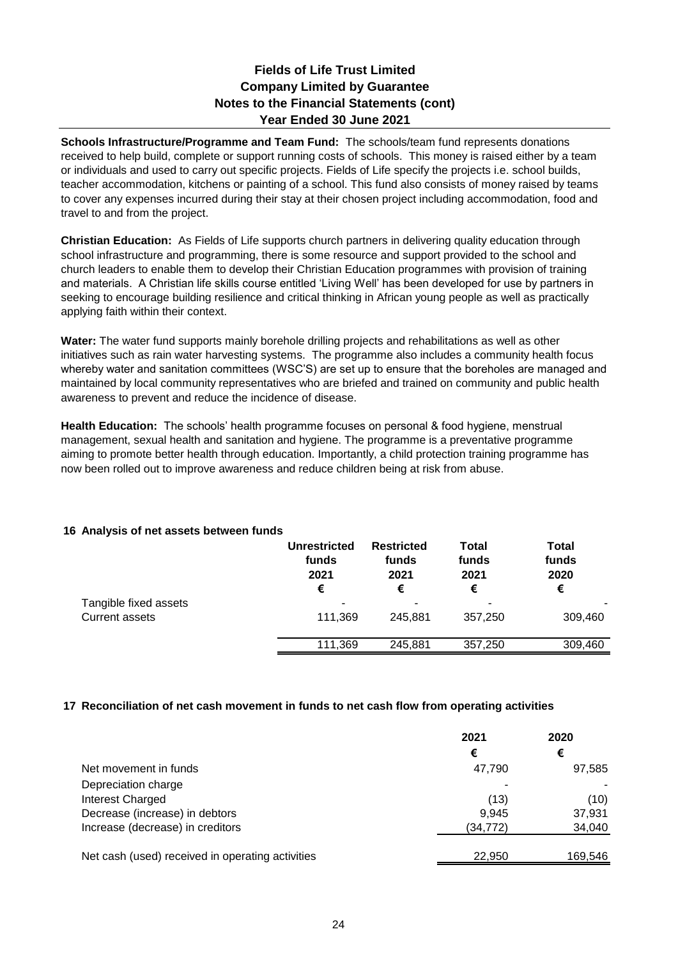## **Company Limited by Guarantee Notes to the Financial Statements (cont) Year Ended 30 June 2021 Fields of Life Trust Limited**

**Schools Infrastructure/Programme and Team Fund:** The schools/team fund represents donations received to help build, complete or support running costs of schools. This money is raised either by a team or individuals and used to carry out specific projects. Fields of Life specify the projects i.e. school builds, teacher accommodation, kitchens or painting of a school. This fund also consists of money raised by teams to cover any expenses incurred during their stay at their chosen project including accommodation, food and travel to and from the project.

**Christian Education:** As Fields of Life supports church partners in delivering quality education through school infrastructure and programming, there is some resource and support provided to the school and church leaders to enable them to develop their Christian Education programmes with provision of training and materials. A Christian life skills course entitled 'Living Well' has been developed for use by partners in seeking to encourage building resilience and critical thinking in African young people as well as practically applying faith within their context.

**Water:** The water fund supports mainly borehole drilling projects and rehabilitations as well as other initiatives such as rain water harvesting systems. The programme also includes a community health focus whereby water and sanitation committees (WSC'S) are set up to ensure that the boreholes are managed and maintained by local community representatives who are briefed and trained on community and public health awareness to prevent and reduce the incidence of disease.

**Health Education:** The schools' health programme focuses on personal & food hygiene, menstrual management, sexual health and sanitation and hygiene. The programme is a preventative programme aiming to promote better health through education. Importantly, a child protection training programme has now been rolled out to improve awareness and reduce children being at risk from abuse.

## **16 Analysis of net assets between funds**

|                                         | <b>Unrestricted</b><br>funds<br>2021<br>€ | <b>Restricted</b><br>funds<br>2021<br>€ | <b>Total</b><br>funds<br>2021<br>€ | <b>Total</b><br>funds<br>2020<br>€ |
|-----------------------------------------|-------------------------------------------|-----------------------------------------|------------------------------------|------------------------------------|
| Tangible fixed assets<br>Current assets | 111,369                                   | -<br>245.881                            | 357.250                            | 309,460                            |
|                                         | 111,369                                   | 245.881                                 | 357,250                            | 309,460                            |

#### **17 Reconciliation of net cash movement in funds to net cash flow from operating activities**

|                                                  | 2021     | 2020    |
|--------------------------------------------------|----------|---------|
|                                                  | €        | €       |
| Net movement in funds                            | 47,790   | 97,585  |
| Depreciation charge                              |          |         |
| Interest Charged                                 | (13)     | (10)    |
| Decrease (increase) in debtors                   | 9,945    | 37,931  |
| Increase (decrease) in creditors                 | (34,772) | 34,040  |
|                                                  |          |         |
| Net cash (used) received in operating activities | 22,950   | 169,546 |